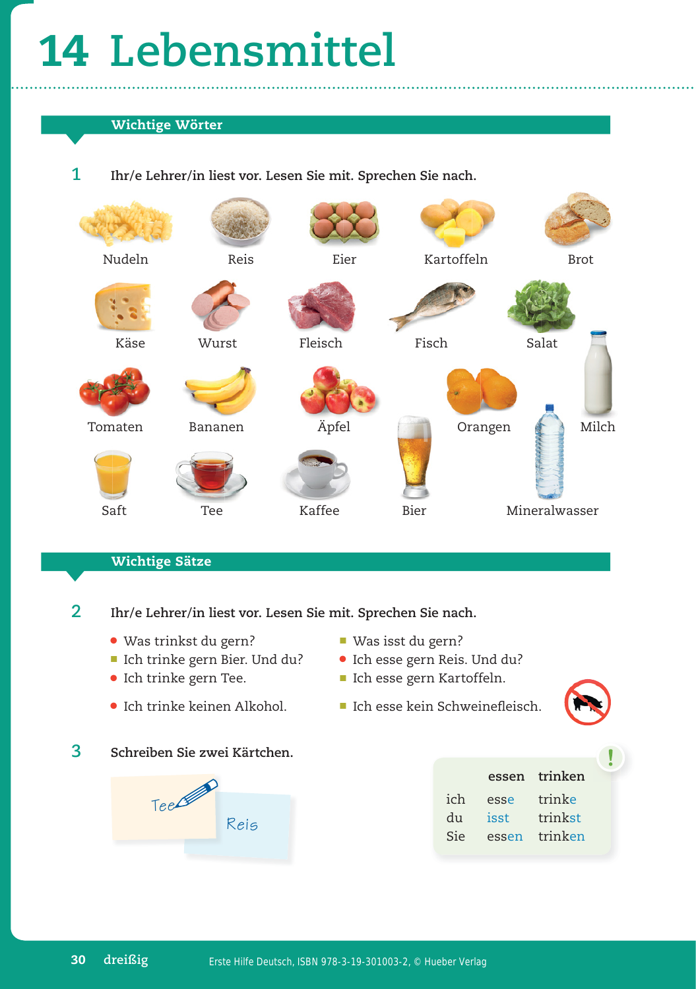## **14 Lebensmittel**

## **Wichtige Wörter**

1 Ihr/e Lehrer/in liest vor. Lesen Sie mit. Sprechen Sie nach.



## **Wichtige Sätze**

2 Ihr/e Lehrer/in liest vor. Lesen Sie mit. Sprechen Sie nach.

- Was trinkst du gern? Was isst du gern?
- Ich trinke gern Bier. Und du? Ich esse gern Reis. Und du?
- 
- Ich trinke keinen Alkohol. Ich esse kein Schweinefleisch.
- **3 Schreiben Sie zwei Kärtchen.**



- 
- 
- Ich trinke gern Tee. Ich esse gern Kartoffeln.
- 

|     | essen | trinken |
|-----|-------|---------|
| ich | esse  | trinke  |
| du  | isst  | trinkst |
| Sie | essen | trinken |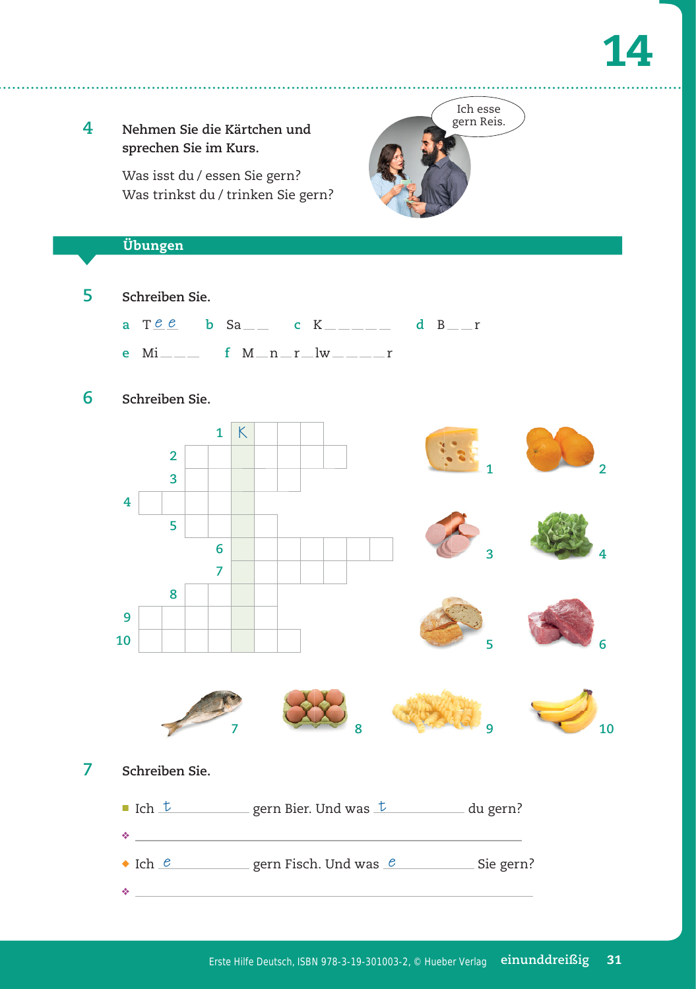**4 Nehmen Sie die Kärtchen und sprechen Sie im Kurs.** Was isst du / essen Sie gern? Was trinkst du / trinken Sie gern? **5 Schreiben Sie. a**  $T e e$  **b** Sa c K - a d B **e** Mi\_\_\_ f M\_n\_r\_lw\_\_\_\_r **6 Schreiben Sie. 1** K **2 3 4 5 6 7 8 9 10 7 Schreiben Sie.** ■ Ich  $\pm$  gern Bier. Und was  $\pm$  du gern? <u>◆ \_\_\_\_\_\_\_\_\_\_\_\_\_\_\_\_\_\_</u>  $\bullet$  Ich  $\ell$  gern Fisch. Und was  $\ell$  Sie gern? ❖ **Übungen 1 3 5 7 8 9 2 4 6 10** Ich esse gern Reis.